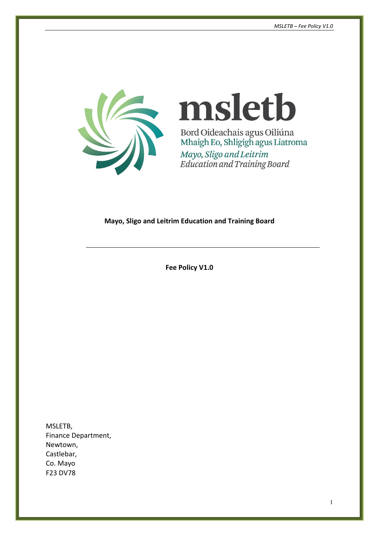

# msletb Bord Oideachais agus Oiliúna Mhaigh Eo, Shligigh agus Liatroma

Mayo, Sligo and Leitrim<br>Education and Training Board

#### **Mayo, Sligo and Leitrim Education and Training Board**

**Fee Policy V1.0**

MSLETB, Finance Department, Newtown, Castlebar, Co. Mayo F23 DV78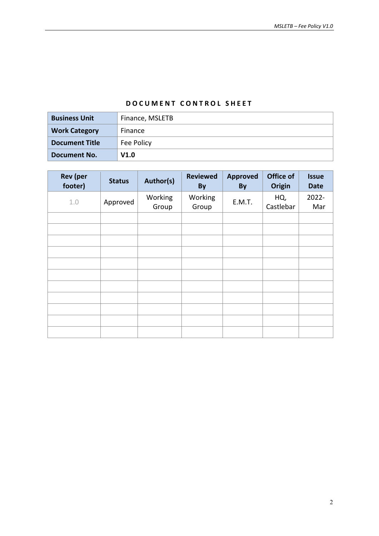#### **DOCUMENT CONTROL SHEET**

| <b>Business Unit</b>  | Finance, MSLETB |  |  |
|-----------------------|-----------------|--|--|
| <b>Work Category</b>  | Finance         |  |  |
| <b>Document Title</b> | Fee Policy      |  |  |
| Document No.          | V1.0            |  |  |

| <b>Rev</b> (per<br>footer) | <b>Status</b> | Author(s)        | <b>Reviewed</b><br><b>By</b> | <b>Approved</b><br><b>By</b> | Office of<br><b>Origin</b> | <b>Issue</b><br><b>Date</b> |
|----------------------------|---------------|------------------|------------------------------|------------------------------|----------------------------|-----------------------------|
| 1.0                        | Approved      | Working<br>Group | Working<br>Group             | E.M.T.                       | HQ,<br>Castlebar           | 2022-<br>Mar                |
|                            |               |                  |                              |                              |                            |                             |
|                            |               |                  |                              |                              |                            |                             |
|                            |               |                  |                              |                              |                            |                             |
|                            |               |                  |                              |                              |                            |                             |
|                            |               |                  |                              |                              |                            |                             |
|                            |               |                  |                              |                              |                            |                             |
|                            |               |                  |                              |                              |                            |                             |
|                            |               |                  |                              |                              |                            |                             |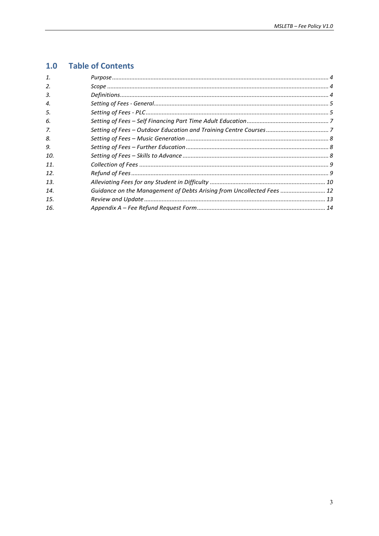#### **Table of Contents**  $1.0$

| 1.  |                                                                       |  |
|-----|-----------------------------------------------------------------------|--|
| 2.  |                                                                       |  |
| 3.  |                                                                       |  |
| 4.  |                                                                       |  |
| 5.  |                                                                       |  |
| 6.  |                                                                       |  |
| 7.  |                                                                       |  |
| 8.  |                                                                       |  |
| 9.  |                                                                       |  |
| 10. |                                                                       |  |
| 11. |                                                                       |  |
| 12. |                                                                       |  |
| 13. |                                                                       |  |
| 14. | Guidance on the Management of Debts Arising from Uncollected Fees  12 |  |
| 15. |                                                                       |  |
| 16. |                                                                       |  |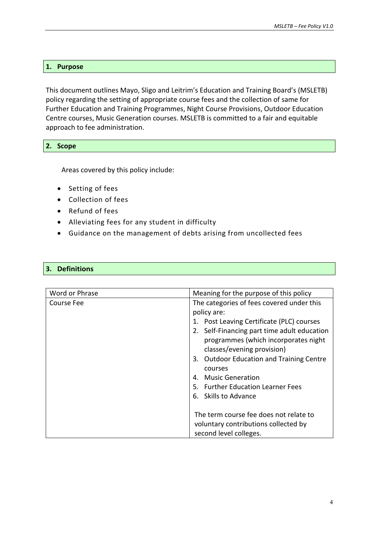#### <span id="page-3-0"></span>**1. Purpose**

This document outlines Mayo, Sligo and Leitrim's Education and Training Board's (MSLETB) policy regarding the setting of appropriate course fees and the collection of same for Further Education and Training Programmes, Night Course Provisions, Outdoor Education Centre courses, Music Generation courses. MSLETB is committed to a fair and equitable approach to fee administration.

#### <span id="page-3-1"></span>**2. Scope**

Areas covered by this policy include:

- Setting of fees
- Collection of fees
- Refund of fees
- Alleviating fees for any student in difficulty
- Guidance on the management of debts arising from uncollected fees

#### <span id="page-3-2"></span>**3. Definitions**

| Word or Phrase | Meaning for the purpose of this policy      |
|----------------|---------------------------------------------|
| Course Fee     | The categories of fees covered under this   |
|                | policy are:                                 |
|                | 1. Post Leaving Certificate (PLC) courses   |
|                | 2. Self-Financing part time adult education |
|                | programmes (which incorporates night        |
|                | classes/evening provision)                  |
|                | 3. Outdoor Education and Training Centre    |
|                | courses                                     |
|                | <b>Music Generation</b>                     |
|                | 5. Further Education Learner Fees           |
|                | 6. Skills to Advance                        |
|                |                                             |
|                | The term course fee does not relate to      |
|                | voluntary contributions collected by        |
|                | second level colleges.                      |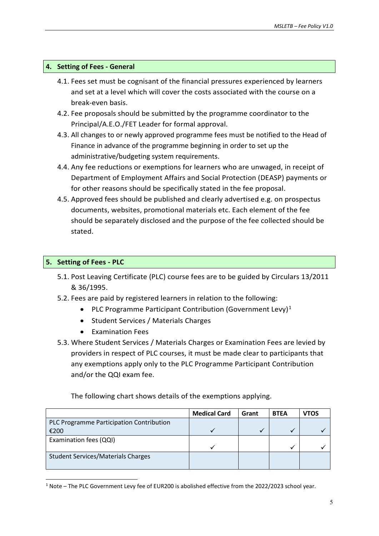#### <span id="page-4-0"></span>**4. Setting of Fees - General**

- 4.1. Fees set must be cognisant of the financial pressures experienced by learners and set at a level which will cover the costs associated with the course on a break-even basis.
- 4.2. Fee proposals should be submitted by the programme coordinator to the Principal/A.E.O./FET Leader for formal approval.
- 4.3. All changes to or newly approved programme fees must be notified to the Head of Finance in advance of the programme beginning in order to set up the administrative/budgeting system requirements.
- 4.4. Any fee reductions or exemptions for learners who are unwaged, in receipt of Department of Employment Affairs and Social Protection (DEASP) payments or for other reasons should be specifically stated in the fee proposal.
- 4.5. Approved fees should be published and clearly advertised e.g. on prospectus documents, websites, promotional materials etc. Each element of the fee should be separately disclosed and the purpose of the fee collected should be stated.

#### <span id="page-4-1"></span>**5. Setting of Fees - PLC**

-

- 5.1. Post Leaving Certificate (PLC) course fees are to be guided by Circulars 13/2011 & 36/1995.
- 5.2. Fees are paid by registered learners in relation to the following:
	- PLC Programme Participant Contribution (Government Levy)<sup>[1](#page-4-2)</sup>
	- Student Services / Materials Charges
	- Examination Fees
- 5.3. Where Student Services / Materials Charges or Examination Fees are levied by providers in respect of PLC courses, it must be made clear to participants that any exemptions apply only to the PLC Programme Participant Contribution and/or the QQI exam fee.

The following chart shows details of the exemptions applying.

|                                           | <b>Medical Card</b> | Grant | <b>BTEA</b> | vtos |
|-------------------------------------------|---------------------|-------|-------------|------|
| PLC Programme Participation Contribution  |                     |       |             |      |
| €200                                      |                     |       |             |      |
| Examination fees (QQI)                    |                     |       |             |      |
|                                           |                     |       |             |      |
| <b>Student Services/Materials Charges</b> |                     |       |             |      |
|                                           |                     |       |             |      |

<span id="page-4-2"></span><sup>1</sup> Note – The PLC Government Levy fee of EUR200 is abolished effective from the 2022/2023 school year.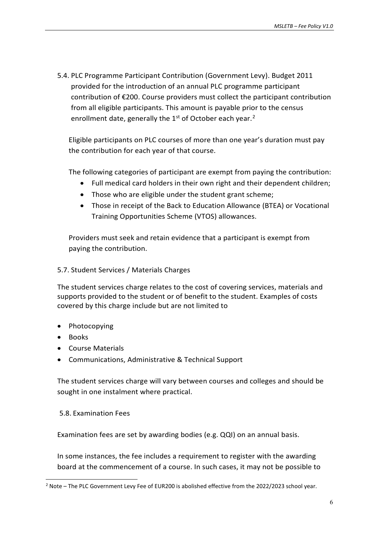5.4. PLC Programme Participant Contribution (Government Levy). Budget 2011 provided for the introduction of an annual PLC programme participant contribution of €200. Course providers must collect the participant contribution from all eligible participants. This amount is payable prior to the census enrollment date, generally the 1<sup>st</sup> of October each year.<sup>[2](#page-5-0)</sup>

Eligible participants on PLC courses of more than one year's duration must pay the contribution for each year of that course.

The following categories of participant are exempt from paying the contribution:

- Full medical card holders in their own right and their dependent children;
- Those who are eligible under the student grant scheme;
- Those in receipt of the Back to Education Allowance (BTEA) or Vocational Training Opportunities Scheme (VTOS) allowances.

Providers must seek and retain evidence that a participant is exempt from paying the contribution.

#### 5.7. Student Services / Materials Charges

The student services charge relates to the cost of covering services, materials and supports provided to the student or of benefit to the student. Examples of costs covered by this charge include but are not limited to

- Photocopying
- Books

-

- Course Materials
- Communications, Administrative & Technical Support

The student services charge will vary between courses and colleges and should be sought in one instalment where practical.

#### 5.8. Examination Fees

Examination fees are set by awarding bodies (e.g. QQI) on an annual basis.

In some instances, the fee includes a requirement to register with the awarding board at the commencement of a course. In such cases, it may not be possible to

<span id="page-5-0"></span> $2$  Note – The PLC Government Levy Fee of EUR200 is abolished effective from the 2022/2023 school year.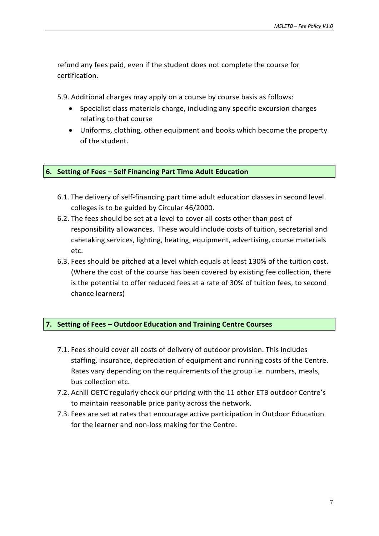refund any fees paid, even if the student does not complete the course for certification.

5.9. Additional charges may apply on a course by course basis as follows:

- Specialist class materials charge, including any specific excursion charges relating to that course
- Uniforms, clothing, other equipment and books which become the property of the student.

#### <span id="page-6-0"></span>**6. Setting of Fees – Self Financing Part Time Adult Education**

- 6.1. The delivery of self-financing part time adult education classes in second level colleges is to be guided by Circular 46/2000.
- 6.2. The fees should be set at a level to cover all costs other than post of responsibility allowances. These would include costs of tuition, secretarial and caretaking services, lighting, heating, equipment, advertising, course materials etc.
- 6.3. Fees should be pitched at a level which equals at least 130% of the tuition cost. (Where the cost of the course has been covered by existing fee collection, there is the potential to offer reduced fees at a rate of 30% of tuition fees, to second chance learners)

#### <span id="page-6-1"></span>**7. Setting of Fees – Outdoor Education and Training Centre Courses**

- 7.1. Fees should cover all costs of delivery of outdoor provision. This includes staffing, insurance, depreciation of equipment and running costs of the Centre. Rates vary depending on the requirements of the group i.e. numbers, meals, bus collection etc.
- 7.2. Achill OETC regularly check our pricing with the 11 other ETB outdoor Centre's to maintain reasonable price parity across the network.
- 7.3. Fees are set at rates that encourage active participation in Outdoor Education for the learner and non-loss making for the Centre.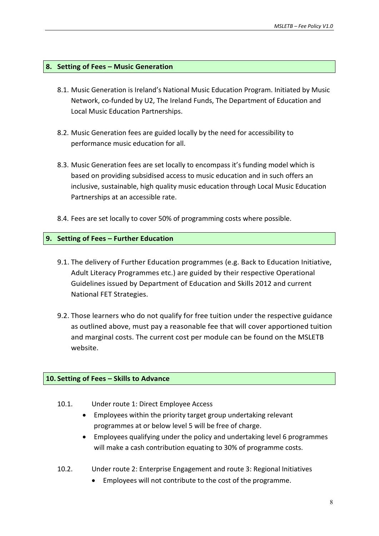#### <span id="page-7-0"></span>**8. Setting of Fees – Music Generation**

- 8.1. Music Generation is Ireland's National Music Education Program. Initiated by Music Network, co-funded by U2, The Ireland Funds, The Department of Education and Local Music Education Partnerships.
- 8.2. Music Generation fees are guided locally by the need for accessibility to performance music education for all.
- 8.3. Music Generation fees are set locally to encompass it's funding model which is based on providing subsidised access to music education and in such offers an inclusive, sustainable, high quality music education through Local Music Education Partnerships at an accessible rate.
- 8.4. Fees are set locally to cover 50% of programming costs where possible.

#### <span id="page-7-1"></span>**9. Setting of Fees – Further Education**

- 9.1. The delivery of Further Education programmes (e.g. Back to Education Initiative, Adult Literacy Programmes etc.) are guided by their respective Operational Guidelines issued by Department of Education and Skills 2012 and current National FET Strategies.
- 9.2. Those learners who do not qualify for free tuition under the respective guidance as outlined above, must pay a reasonable fee that will cover apportioned tuition and marginal costs. The current cost per module can be found on the MSLETB website.

#### <span id="page-7-2"></span>**10. Setting of Fees – Skills to Advance**

- 10.1. Under route 1: Direct Employee Access
	- Employees within the priority target group undertaking relevant programmes at or below level 5 will be free of charge.
	- Employees qualifying under the policy and undertaking level 6 programmes will make a cash contribution equating to 30% of programme costs.
- 10.2. Under route 2: Enterprise Engagement and route 3: Regional Initiatives
	- Employees will not contribute to the cost of the programme.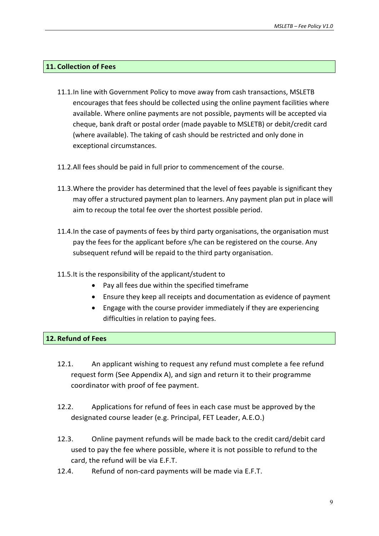#### <span id="page-8-0"></span>**11. Collection of Fees**

- 11.1.In line with Government Policy to move away from cash transactions, MSLETB encourages that fees should be collected using the online payment facilities where available. Where online payments are not possible, payments will be accepted via cheque, bank draft or postal order (made payable to MSLETB) or debit/credit card (where available). The taking of cash should be restricted and only done in exceptional circumstances.
- 11.2.All fees should be paid in full prior to commencement of the course.
- 11.3.Where the provider has determined that the level of fees payable is significant they may offer a structured payment plan to learners. Any payment plan put in place will aim to recoup the total fee over the shortest possible period.
- 11.4.In the case of payments of fees by third party organisations, the organisation must pay the fees for the applicant before s/he can be registered on the course. Any subsequent refund will be repaid to the third party organisation.
- 11.5.It is the responsibility of the applicant/student to
	- Pay all fees due within the specified timeframe
	- Ensure they keep all receipts and documentation as evidence of payment
	- Engage with the course provider immediately if they are experiencing difficulties in relation to paying fees.

#### <span id="page-8-1"></span>**12. Refund of Fees**

- 12.1. An applicant wishing to request any refund must complete a fee refund request form (See Appendix A), and sign and return it to their programme coordinator with proof of fee payment.
- 12.2. Applications for refund of fees in each case must be approved by the designated course leader (e.g. Principal, FET Leader, A.E.O.)
- 12.3. Online payment refunds will be made back to the credit card/debit card used to pay the fee where possible, where it is not possible to refund to the card, the refund will be via E.F.T.
- 12.4. Refund of non-card payments will be made via E.F.T.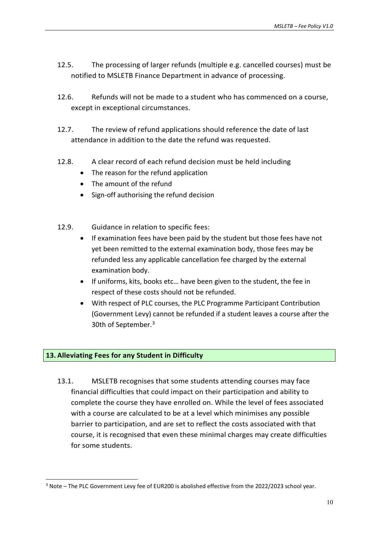- 12.5. The processing of larger refunds (multiple e.g. cancelled courses) must be notified to MSLETB Finance Department in advance of processing.
- 12.6. Refunds will not be made to a student who has commenced on a course, except in exceptional circumstances.
- 12.7. The review of refund applications should reference the date of last attendance in addition to the date the refund was requested.
- 12.8. A clear record of each refund decision must be held including
	- The reason for the refund application
	- The amount of the refund
	- Sign-off authorising the refund decision
- 12.9. Guidance in relation to specific fees:
	- If examination fees have been paid by the student but those fees have not yet been remitted to the external examination body, those fees may be refunded less any applicable cancellation fee charged by the external examination body.
	- If uniforms, kits, books etc… have been given to the student, the fee in respect of these costs should not be refunded.
	- With respect of PLC courses, the PLC Programme Participant Contribution (Government Levy) cannot be refunded if a student leaves a course after the 30th of September.[3](#page-9-1)

#### <span id="page-9-0"></span>**13. Alleviating Fees for any Student in Difficulty**

-

13.1. MSLETB recognises that some students attending courses may face financial difficulties that could impact on their participation and ability to complete the course they have enrolled on. While the level of fees associated with a course are calculated to be at a level which minimises any possible barrier to participation, and are set to reflect the costs associated with that course, it is recognised that even these minimal charges may create difficulties for some students.

<span id="page-9-1"></span><sup>&</sup>lt;sup>3</sup> Note – The PLC Government Levy fee of EUR200 is abolished effective from the 2022/2023 school year.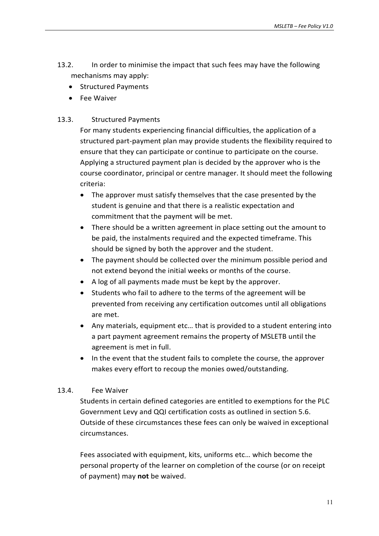- 13.2. In order to minimise the impact that such fees may have the following mechanisms may apply:
	- Structured Payments
	- Fee Waiver

### 13.3. Structured Payments

For many students experiencing financial difficulties, the application of a structured part-payment plan may provide students the flexibility required to ensure that they can participate or continue to participate on the course. Applying a structured payment plan is decided by the approver who is the course coordinator, principal or centre manager. It should meet the following criteria:

- The approver must satisfy themselves that the case presented by the student is genuine and that there is a realistic expectation and commitment that the payment will be met.
- There should be a written agreement in place setting out the amount to be paid, the instalments required and the expected timeframe. This should be signed by both the approver and the student.
- The payment should be collected over the minimum possible period and not extend beyond the initial weeks or months of the course.
- A log of all payments made must be kept by the approver.
- Students who fail to adhere to the terms of the agreement will be prevented from receiving any certification outcomes until all obligations are met.
- Any materials, equipment etc… that is provided to a student entering into a part payment agreement remains the property of MSLETB until the agreement is met in full.
- In the event that the student fails to complete the course, the approver makes every effort to recoup the monies owed/outstanding.

#### 13.4. Fee Waiver

Students in certain defined categories are entitled to exemptions for the PLC Government Levy and QQI certification costs as outlined in section 5.6. Outside of these circumstances these fees can only be waived in exceptional circumstances.

Fees associated with equipment, kits, uniforms etc… which become the personal property of the learner on completion of the course (or on receipt of payment) may **not** be waived.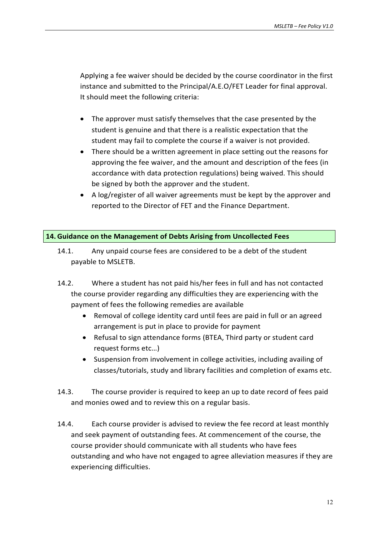Applying a fee waiver should be decided by the course coordinator in the first instance and submitted to the Principal/A.E.O/FET Leader for final approval. It should meet the following criteria:

- The approver must satisfy themselves that the case presented by the student is genuine and that there is a realistic expectation that the student may fail to complete the course if a waiver is not provided.
- There should be a written agreement in place setting out the reasons for approving the fee waiver, and the amount and description of the fees (in accordance with data protection regulations) being waived. This should be signed by both the approver and the student.
- A log/register of all waiver agreements must be kept by the approver and reported to the Director of FET and the Finance Department.

#### <span id="page-11-0"></span>**14.Guidance on the Management of Debts Arising from Uncollected Fees**

- 14.1. Any unpaid course fees are considered to be a debt of the student payable to MSLETB.
- 14.2. Where a student has not paid his/her fees in full and has not contacted the course provider regarding any difficulties they are experiencing with the payment of fees the following remedies are available
	- Removal of college identity card until fees are paid in full or an agreed arrangement is put in place to provide for payment
	- Refusal to sign attendance forms (BTEA, Third party or student card request forms etc…)
	- Suspension from involvement in college activities, including availing of classes/tutorials, study and library facilities and completion of exams etc.
- 14.3. The course provider is required to keep an up to date record of fees paid and monies owed and to review this on a regular basis.
- 14.4. Each course provider is advised to review the fee record at least monthly and seek payment of outstanding fees. At commencement of the course, the course provider should communicate with all students who have fees outstanding and who have not engaged to agree alleviation measures if they are experiencing difficulties.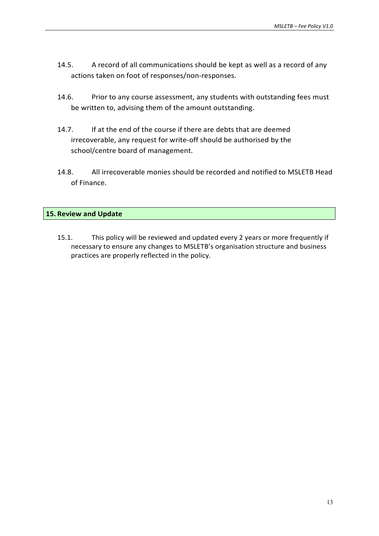- 14.5. A record of all communications should be kept as well as a record of any actions taken on foot of responses/non-responses.
- 14.6. Prior to any course assessment, any students with outstanding fees must be written to, advising them of the amount outstanding.
- 14.7. If at the end of the course if there are debts that are deemed irrecoverable, any request for write-off should be authorised by the school/centre board of management.
- 14.8. All irrecoverable monies should be recorded and notified to MSLETB Head of Finance.

#### <span id="page-12-0"></span>**15. Review and Update**

15.1. This policy will be reviewed and updated every 2 years or more frequently if necessary to ensure any changes to MSLETB's organisation structure and business practices are properly reflected in the policy.